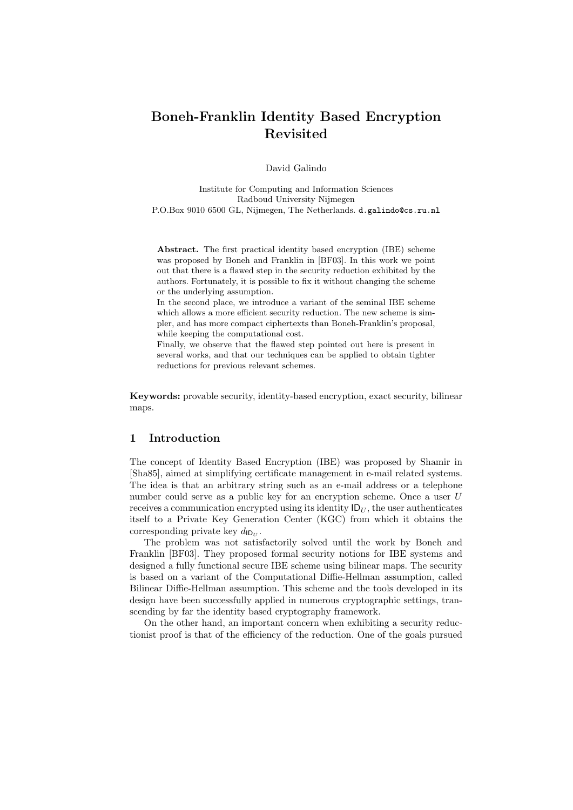# Boneh-Franklin Identity Based Encryption Revisited

David Galindo

Institute for Computing and Information Sciences Radboud University Nijmegen P.O.Box 9010 6500 GL, Nijmegen, The Netherlands. d.galindo@cs.ru.nl

Abstract. The first practical identity based encryption (IBE) scheme was proposed by Boneh and Franklin in [BF03]. In this work we point out that there is a flawed step in the security reduction exhibited by the authors. Fortunately, it is possible to fix it without changing the scheme or the underlying assumption.

In the second place, we introduce a variant of the seminal IBE scheme which allows a more efficient security reduction. The new scheme is simpler, and has more compact ciphertexts than Boneh-Franklin's proposal, while keeping the computational cost.

Finally, we observe that the flawed step pointed out here is present in several works, and that our techniques can be applied to obtain tighter reductions for previous relevant schemes.

Keywords: provable security, identity-based encryption, exact security, bilinear maps.

## 1 Introduction

The concept of Identity Based Encryption (IBE) was proposed by Shamir in [Sha85], aimed at simplifying certificate management in e-mail related systems. The idea is that an arbitrary string such as an e-mail address or a telephone number could serve as a public key for an encryption scheme. Once a user U receives a communication encrypted using its identity  $\mathsf{ID}_U$ , the user authenticates itself to a Private Key Generation Center (KGC) from which it obtains the corresponding private key  $d_{\mathsf{ID}_U}$ .

The problem was not satisfactorily solved until the work by Boneh and Franklin [BF03]. They proposed formal security notions for IBE systems and designed a fully functional secure IBE scheme using bilinear maps. The security is based on a variant of the Computational Diffie-Hellman assumption, called Bilinear Diffie-Hellman assumption. This scheme and the tools developed in its design have been successfully applied in numerous cryptographic settings, transcending by far the identity based cryptography framework.

On the other hand, an important concern when exhibiting a security reductionist proof is that of the efficiency of the reduction. One of the goals pursued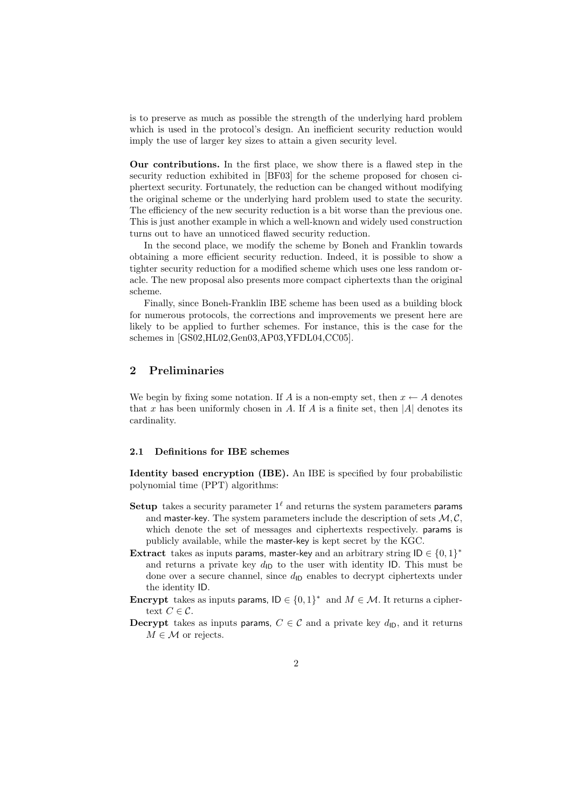is to preserve as much as possible the strength of the underlying hard problem which is used in the protocol's design. An inefficient security reduction would imply the use of larger key sizes to attain a given security level.

Our contributions. In the first place, we show there is a flawed step in the security reduction exhibited in [BF03] for the scheme proposed for chosen ciphertext security. Fortunately, the reduction can be changed without modifying the original scheme or the underlying hard problem used to state the security. The efficiency of the new security reduction is a bit worse than the previous one. This is just another example in which a well-known and widely used construction turns out to have an unnoticed flawed security reduction.

In the second place, we modify the scheme by Boneh and Franklin towards obtaining a more efficient security reduction. Indeed, it is possible to show a tighter security reduction for a modified scheme which uses one less random oracle. The new proposal also presents more compact ciphertexts than the original scheme.

Finally, since Boneh-Franklin IBE scheme has been used as a building block for numerous protocols, the corrections and improvements we present here are likely to be applied to further schemes. For instance, this is the case for the schemes in [GS02,HL02,Gen03,AP03,YFDL04,CC05].

## 2 Preliminaries

We begin by fixing some notation. If A is a non-empty set, then  $x \leftarrow A$  denotes that x has been uniformly chosen in A. If A is a finite set, then  $|A|$  denotes its cardinality.

#### 2.1 Definitions for IBE schemes

Identity based encryption (IBE). An IBE is specified by four probabilistic polynomial time (PPT) algorithms:

- Setup takes a security parameter  $1^\ell$  and returns the system parameters params and master-key. The system parameters include the description of sets  $M, C$ . which denote the set of messages and ciphertexts respectively. params is publicly available, while the master-key is kept secret by the KGC.
- Extract takes as inputs params, master-key and an arbitrary string  $\mathsf{ID} \in \{0,1\}^*$ and returns a private key  $d_{\text{ID}}$  to the user with identity ID. This must be done over a secure channel, since  $d_{\text{ID}}$  enables to decrypt ciphertexts under the identity ID.
- **Encrypt** takes as inputs params,  $\mathsf{ID} \in \{0,1\}^*$  and  $M \in \mathcal{M}$ . It returns a ciphertext  $C \in \mathcal{C}$ .
- **Decrypt** takes as inputs params,  $C \in \mathcal{C}$  and a private key  $d_{\text{ID}}$ , and it returns  $M \in \mathcal{M}$  or rejects.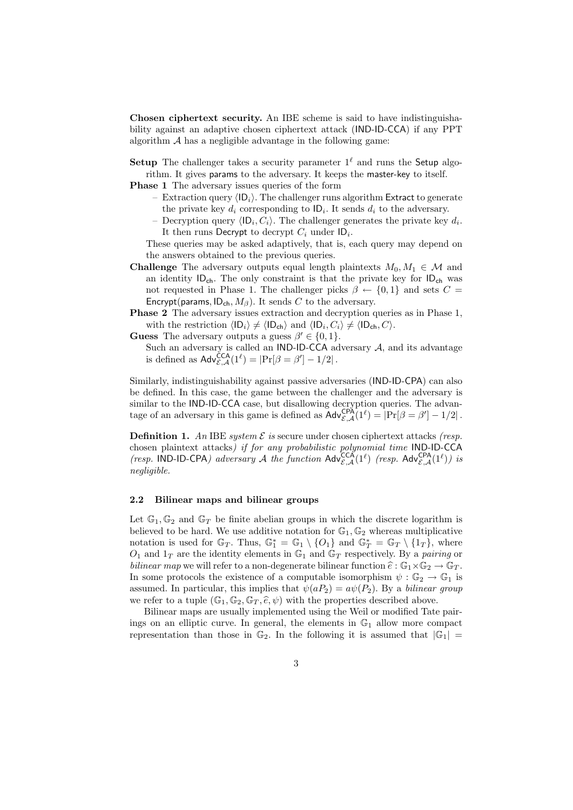Chosen ciphertext security. An IBE scheme is said to have indistinguishability against an adaptive chosen ciphertext attack (IND-ID-CCA) if any PPT algorithm  $A$  has a negligible advantage in the following game:

Setup The challenger takes a security parameter  $1^\ell$  and runs the Setup algorithm. It gives params to the adversary. It keeps the master-key to itself.

Phase 1 The adversary issues queries of the form

- Extraction query  $\langle \mathsf{ID}_i \rangle$ . The challenger runs algorithm Extract to generate the private key  $d_i$  corresponding to  $\mathsf{ID}_i$ . It sends  $d_i$  to the adversary.
- Decryption query  $\langle \mathsf{ID}_i, C_i \rangle$ . The challenger generates the private key  $d_i$ . It then runs Decrypt to decrypt  $C_i$  under  $ID_i$ .

These queries may be asked adaptively, that is, each query may depend on the answers obtained to the previous queries.

- **Challenge** The adversary outputs equal length plaintexts  $M_0, M_1 \in \mathcal{M}$  and an identity  $ID_{ch}$ . The only constraint is that the private key for  $ID_{ch}$  was not requested in Phase 1. The challenger picks  $\beta \leftarrow \{0,1\}$  and sets  $C =$ Encrypt(params,  $ID_{ch}$ ,  $M_{\beta}$ ). It sends C to the adversary.
- Phase 2 The adversary issues extraction and decryption queries as in Phase 1, with the restriction  $\langle \mathsf{ID}_i \rangle \neq \langle \mathsf{ID}_{\mathsf{ch}} \rangle$  and  $\langle \mathsf{ID}_i, C_i \rangle \neq \langle \mathsf{ID}_{\mathsf{ch}}, C \rangle$ .

**Guess** The adversary outputs a guess  $\beta' \in \{0, 1\}.$ 

Such an adversary is called an IND-ID-CCA adversary  $A$ , and its advantage is defined as  $\mathsf{Adv}_{\mathcal{E},\mathcal{A}}^{\mathsf{CCA}}(1^{\ell}) = |\Pr[\beta = \beta'] - 1/2|.$ 

Similarly, indistinguishability against passive adversaries (IND-ID-CPA) can also be defined. In this case, the game between the challenger and the adversary is similar to the IND-ID-CCA case, but disallowing decryption queries. The advantage of an adversary in this game is defined as  $\mathsf{Adv}_{\mathcal{E},\mathcal{A}}^{\mathsf{CPA}}(1^{\ell}) = |\Pr[\beta = \beta'] - 1/2|.$ 

**Definition 1.** An IBE system  $\mathcal E$  is secure under chosen ciphertext attacks (resp. chosen plaintext attacks) if for any probabilistic polynomial time IND-ID-CCA (resp. IND-ID-CPA) adversary A the function  $\text{Adv}_{\mathcal{E},\mathcal{A}}^{\text{CCA}}(1^{\ell})$  (resp.  $\text{Adv}_{\mathcal{E},\mathcal{A}}^{\text{CPA}}(1^{\ell})$ ) is negligible.

### 2.2 Bilinear maps and bilinear groups

Let  $\mathbb{G}_1, \mathbb{G}_2$  and  $\mathbb{G}_T$  be finite abelian groups in which the discrete logarithm is believed to be hard. We use additive notation for  $\mathbb{G}_1, \mathbb{G}_2$  whereas multiplicative notation is used for  $\mathbb{G}_T$ . Thus,  $\mathbb{G}_1^* = \mathbb{G}_1 \setminus \{O_1\}$  and  $\mathbb{G}_T^* = \mathbb{G}_T \setminus \{1_T\}$ , where  $O_1$  and  $1_T$  are the identity elements in  $\mathbb{G}_1$  and  $\mathbb{G}_T$  respectively. By a pairing or bilinear map we will refer to a non-degenerate bilinear function  $\hat{e}: \mathbb{G}_1 \times \mathbb{G}_2 \to \mathbb{G}_T$ . In some protocols the existence of a computable isomorphism  $\psi : \mathbb{G}_2 \to \mathbb{G}_1$  is assumed. In particular, this implies that  $\psi(aP_2) = a\psi(P_2)$ . By a bilinear group we refer to a tuple  $(\mathbb{G}_1, \mathbb{G}_2, \mathbb{G}_T, \hat{e}, \psi)$  with the properties described above.

Bilinear maps are usually implemented using the Weil or modified Tate pairings on an elliptic curve. In general, the elements in  $\mathbb{G}_1$  allow more compact representation than those in  $\mathbb{G}_2$ . In the following it is assumed that  $|\mathbb{G}_1|$  =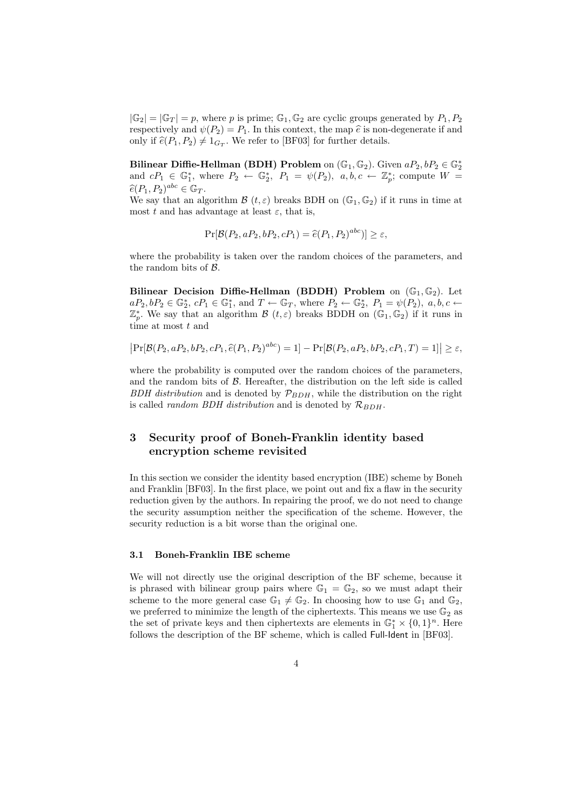$|\mathbb{G}_2| = |\mathbb{G}_T| = p$ , where p is prime;  $\mathbb{G}_1, \mathbb{G}_2$  are cyclic groups generated by  $P_1, P_2$ respectively and  $\psi(P_2) = P_1$ . In this context, the map  $\hat{e}$  is non-degenerate if and only if  $\hat{e}(P_1, P_2) \neq 1_{G_T}$ . We refer to [BF03] for further details.

Bilinear Diffie-Hellman (BDH) Problem on  $(\mathbb{G}_1, \mathbb{G}_2)$ . Given  $aP_2, bP_2 \in \mathbb{G}_2^*$ and  $cP_1 \in \mathbb{G}_1^*$ , where  $P_2 \leftarrow \mathbb{G}_2^*$ ,  $P_1 = \psi(P_2)$ ,  $a, b, c \leftarrow \mathbb{Z}_p^*$ ; compute  $W =$  $\widehat{e}(P_1, P_2)^{abc} \in \mathbb{G}_T.$ <br>We say that an al

We say that an algorithm  $\mathcal{B}(t,\varepsilon)$  breaks BDH on  $(\mathbb{G}_1,\mathbb{G}_2)$  if it runs in time at most t and has advantage at least  $\varepsilon$ , that is,

$$
Pr[\mathcal{B}(P_2, aP_2, bP_2, cP_1) = \hat{e}(P_1, P_2)^{abc}] \ge \varepsilon,
$$

where the probability is taken over the random choices of the parameters, and the random bits of B.

Bilinear Decision Diffie-Hellman (BDDH) Problem on  $(\mathbb{G}_1, \mathbb{G}_2)$ . Let  $aP_2, bP_2 \in \mathbb{G}_2^*, cP_1 \in \mathbb{G}_1^*,$  and  $T \leftarrow \mathbb{G}_T$ , where  $P_2 \leftarrow \mathbb{G}_2^*, P_1 = \psi(P_2), a, b, c \leftarrow$  $\mathbb{Z}_p^*$ . We say that an algorithm  $\mathcal{B}(t,\varepsilon)$  breaks BDDH on  $(\mathbb{G}_1,\mathbb{G}_2)$  if it runs in time at most t and

$$
Pr[\mathcal{B}(P_2, aP_2, bP_2, cP_1, \hat{e}(P_1, P_2)^{abc}] = 1] - Pr[\mathcal{B}(P_2, aP_2, bP_2, cP_1, T) = 1]| \ge \varepsilon,
$$

where the probability is computed over the random choices of the parameters, and the random bits of  $\beta$ . Hereafter, the distribution on the left side is called BDH distribution and is denoted by  $\mathcal{P}_{BDH}$ , while the distribution on the right is called *random BDH distribution* and is denoted by  $\mathcal{R}_{BDH}$ .

## 3 Security proof of Boneh-Franklin identity based encryption scheme revisited

In this section we consider the identity based encryption (IBE) scheme by Boneh and Franklin [BF03]. In the first place, we point out and fix a flaw in the security reduction given by the authors. In repairing the proof, we do not need to change the security assumption neither the specification of the scheme. However, the security reduction is a bit worse than the original one.

#### 3.1 Boneh-Franklin IBE scheme

We will not directly use the original description of the BF scheme, because it is phrased with bilinear group pairs where  $\mathbb{G}_1 = \mathbb{G}_2$ , so we must adapt their scheme to the more general case  $\mathbb{G}_1 \neq \mathbb{G}_2$ . In choosing how to use  $\mathbb{G}_1$  and  $\mathbb{G}_2$ , we preferred to minimize the length of the ciphertexts. This means we use  $\mathbb{G}_2$  as the set of private keys and then ciphertexts are elements in  $\mathbb{G}_1^* \times \{0,1\}^n$ . Here follows the description of the BF scheme, which is called Full-Ident in [BF03].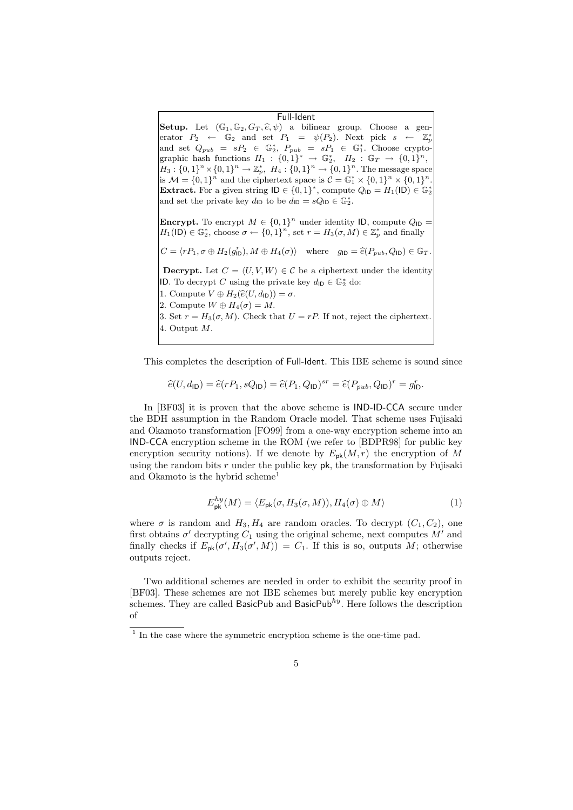Full-Ident Setup. Let  $(\mathbb{G}_1, \mathbb{G}_2, G_T, \hat{e}, \psi)$  a bilinear group. Choose a generator  $P_2 \leftarrow \mathbb{G}_2$  and set  $P_1 = \psi(P_2)$ . Next pick  $s \leftarrow \mathbb{Z}_p^*$ and set  $Q_{pub} = sP_2 \in \mathbb{G}_2^*$ ,  $P_{pub} = sP_1 \in \mathbb{G}_1^*$ . Choose cryptographic hash functions  $H_1: \{0,1\}^* \rightarrow \mathbb{G}_2^*, H_2: \mathbb{G}_T \rightarrow \{0,1\}^n$ ,  $H_3: \{0,1\}^n \times \{0,1\}^n \to \mathbb{Z}_p^*, H_4: \{0,1\}^n \to \{0,1\}^n.$  The message space is  $\mathcal{M} = \{0,1\}^n$  and the ciphertext space is  $\mathcal{C} = \mathbb{G}_1^* \times \{0,1\}^n \times \{0,1\}^n$ . **Extract.** For a given string  $ID \in \{0, 1\}^*$ , compute  $Q_{ID} = H_1(ID) \in \mathbb{G}_2^*$ and set the private key  $d_{\text{ID}}$  to be  $d_{\text{ID}} = sQ_{\text{ID}} \in \mathbb{G}_2^*$ . **Encrypt.** To encrypt  $M \in \{0,1\}^n$  under identity ID, compute  $Q_{\text{ID}} =$  $H_1(\mathsf{ID}) \in \mathbb{G}_2^*$ , choose  $\sigma \leftarrow \{0,1\}^n$ , set  $r = H_3(\sigma, M) \in \mathbb{Z}_p^*$  and finally  $C = \langle rP_1, \sigma \oplus H_2(g_0^r) \rangle$ The  $M \in \{0, 1\}^n$  under identity ID, compute  $Q_{\text{ID}} =$ <br>  $\mathbf{e} \sigma \leftarrow \{0, 1\}^n$ , set  $r = H_3(\sigma, M) \in \mathbb{Z}_p^*$  and finally<br>  $I_{\text{ID}}^r$ ,  $M \oplus H_4(\sigma)$  where  $g_{\text{ID}} = \hat{e}(P_{pub}, Q_{\text{ID}}) \in \mathbb{G}_T$ . **Decrypt.** Let  $C = \langle U, V, W \rangle \in C$  be a ciphertext under the identity <br>ID. To decrypt C using the private key  $d_{\text{ID}} \in \mathbb{G}_2^*$  do:<br>1. Compute  $V \oplus H_2(\hat{e}(U, d_{\text{ID}})) = \sigma$ . ID. To decrypt C using the private key  $d_{\text{ID}} \in \mathbb{G}_2^*$  do: 2. Compute  $W \oplus H_4(\sigma) = M$ . 3. Set  $r = H_3(\sigma, M)$ . Check that  $U = rP$ . If not, reject the ciphertext. 4. Output M.

This completes the description of Full-Ident. This IBE scheme is sound since

$$
\widehat{e}(U, d_{\mathsf{ID}}) = \widehat{e}(rP_1, sQ_{\mathsf{ID}}) = \widehat{e}(P_1, Q_{\mathsf{ID}})^{sr} = \widehat{e}(P_{pub}, Q_{\mathsf{ID}})^r = g_{\mathsf{ID}}^r.
$$

In [BF03] it is proven that the above scheme is IND-ID-CCA secure under the BDH assumption in the Random Oracle model. That scheme uses Fujisaki and Okamoto transformation [FO99] from a one-way encryption scheme into an IND-CCA encryption scheme in the ROM (we refer to [BDPR98] for public key encryption security notions). If we denote by  $E_{\mathsf{pk}}(M,r)$  the encryption of M using the random bits  $r$  under the public key  $pk$ , the transformation by Fujisaki and Okamoto is the hybrid scheme<sup>1</sup>

$$
E_{\mathsf{pk}}^{hy}(M) = \langle E_{\mathsf{pk}}(\sigma, H_3(\sigma, M)), H_4(\sigma) \oplus M \rangle \tag{1}
$$

where  $\sigma$  is random and  $H_3, H_4$  are random oracles. To decrypt  $(C_1, C_2)$ , one first obtains  $\sigma'$  decrypting  $C_1$  using the original scheme, next computes  $M'$  and finally checks if  $E_{\mathsf{pk}}(\sigma', H_3(\sigma', M)) = C_1$ . If this is so, outputs M; otherwise outputs reject.

Two additional schemes are needed in order to exhibit the security proof in [BF03]. These schemes are not IBE schemes but merely public key encryption schemes. They are called BasicPub and BasicPub<sup>hy</sup>. Here follows the description of

<sup>&</sup>lt;sup>1</sup> In the case where the symmetric encryption scheme is the one-time pad.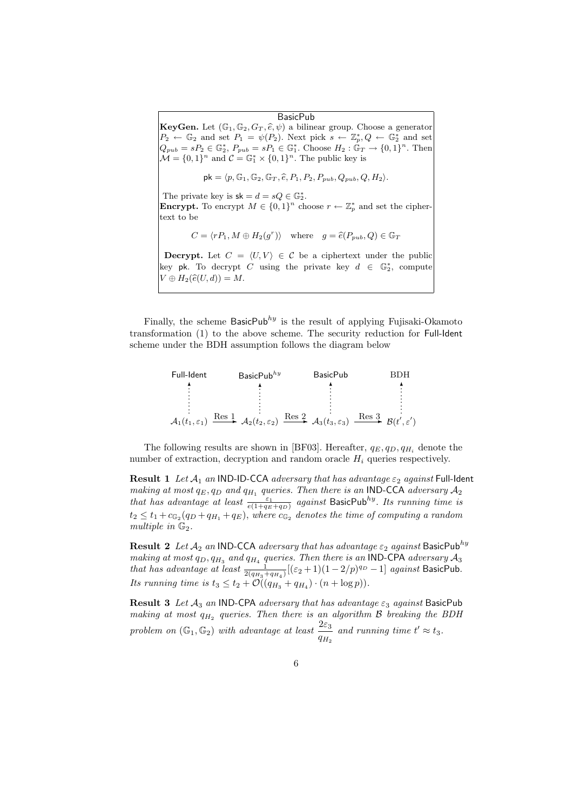BasicPub

KeyGen. Let  $(\mathbb{G}_1, \mathbb{G}_2, G_T, \hat{e}, \psi)$  a bilinear group. Choose a generator  $P_2 \leftarrow \mathbb{G}_2$  and set  $P_1 = \psi(P_2)$ . Next pick  $s \leftarrow \mathbb{Z}_p^*, Q \leftarrow \mathbb{G}_2^*$  and set  $Q_{pub} = sP_2 \in \mathbb{G}_2^*, P_{pub} = sP_1 \in \mathbb{G}_1^*.$  Choose  $H_2 : \mathbb{G}_T \to \{0,1\}^n.$  Then  $\mathcal{M} = \{0, 1\}^n$  and  $\mathcal{C} = \mathbb{G}_1^* \times \{0, 1\}^n$ . The public key is  $p_k \in \mathbb{G}_2^*, P_{pub} = sP_1 \in \mathbb{G}_1^*.$  Choose  $H_2 : \mathbb{G}_T \to \{0\}^n$  and  $C = \mathbb{G}_1^* \times \{0, 1\}^n$ . The public key is<br>  $pk = \langle p, \mathbb{G}_1, \mathbb{G}_2, \mathbb{G}_T, \hat{e}, P_1, P_2, P_{pub}, Q_{pub}, Q, H_2 \rangle.$ 

The private key is  $sk = d = sQ \in \mathbb{G}_2^*$ . **Encrypt.** To encrypt  $M \in \{0, 1\}^n$  choose  $r \leftarrow \mathbb{Z}_p^*$  and set the cipher-<br>text to be<br> $C = \langle rP_1, M \oplus H_2(g^r) \rangle$  where  $g = \hat{e}(P_{pub}, Q) \in \mathbb{G}_T$ text to be

$$
C = \langle rP_1, M \oplus H_2(g^r) \rangle \quad \text{where} \quad g = \hat{e}(P_{pub}, Q) \in \mathbb{G}_T
$$

**Decrypt.** Let  $C = \langle U, V \rangle \in \mathcal{C}$  be a ciphertext under the public key pk. To decrypt C using the private key  $d \in \mathbb{G}_2^*$ , compute  $V \oplus H_2(\widehat{e}(U, d)) = M.$ 

Finally, the scheme BasicPub<sup>hy</sup> is the result of applying Fujisaki-Okamoto transformation (1) to the above scheme. The security reduction for Full-Ident scheme under the BDH assumption follows the diagram below



The following results are shown in [BF03]. Hereafter,  $q_E, q_D, q_{H_i}$  denote the number of extraction, decryption and random oracle  $H_i$  queries respectively.

**Result 1** Let  $A_1$  an IND-ID-CCA adversary that has advantage  $\varepsilon_2$  against Full-Ident making at most  $q_E, q_D$  and  $q_{H_1}$  queries. Then there is an IND-CCA adversary  $\mathcal{A}_2$ that has advantage at least  $\frac{\varepsilon_1}{e(1+q_E+q_D)}$  against BasicPub<sup>hy</sup>. Its running time is  $t_2 \leq t_1 + c_{\mathbb{G}_2}(q_D+q_{H_1}+q_E),$  where  $c_{\mathbb{G}_2}$  denotes the time of computing a random multiple in  $\mathbb{G}_2$ .

**Result 2** Let  $A_2$  an IND-CCA adversary that has advantage  $\varepsilon_2$  against BasicPub<sup>hy</sup> making at most  $q_D, q_{H_3}$  and  $q_{H_4}$  queries. Then there is an **IND-CPA** adversary  $\mathcal{A}_3$ that has advantage at least  $\frac{1}{2(q_{H_3}+q_{H_4})}[(\varepsilon_2+1)(1-2/p)^{q_D}-1]$  against BasicPub. Its running time is  $t_3 \le t_2 + \mathcal{O}((q_{H_3} + q_{H_4}) \cdot (n + \log p)).$ 

Result 3 Let  $A_3$  an IND-CPA adversary that has advantage  $\varepsilon_3$  against BasicPub making at most  $q_{H_2}$  queries. Then there is an algorithm  $\mathcal B$  breaking the BDH problem on  $(\mathbb{G}_1, \mathbb{G}_2)$  with advantage at least  $\frac{2\varepsilon_3}{q_{H_2}}$  and running time  $t' \approx t_3$ .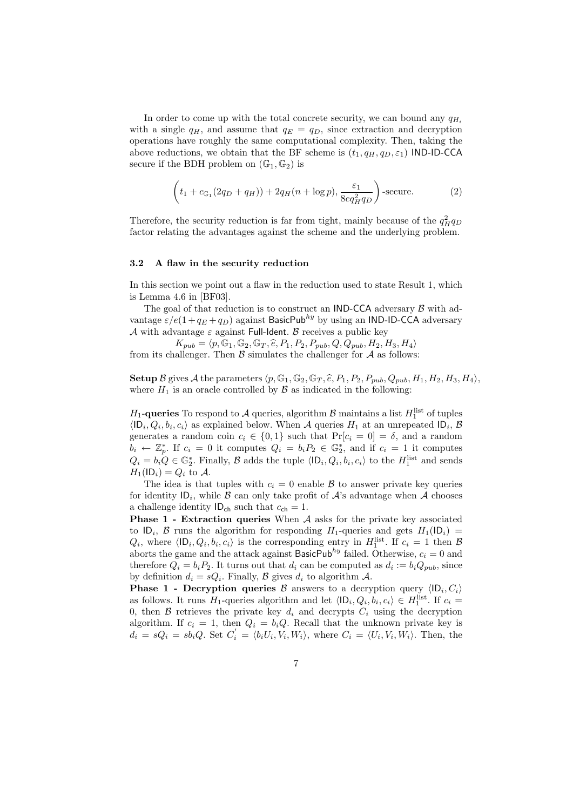In order to come up with the total concrete security, we can bound any  $q_{H_i}$ with a single  $q_H$ , and assume that  $q_E = q_D$ , since extraction and decryption operations have roughly the same computational complexity. Then, taking the above reductions, we obtain that the BF scheme is  $(t_1, q_H, q_D, \varepsilon_1)$  IND-ID-CCA secure if the BDH problem on  $(\mathbb{G}_1, \mathbb{G}_2)$  is

$$
\left(t_1 + c_{\mathbb{G}_1}(2q_D + q_H)) + 2q_H(n + \log p), \frac{\varepsilon_1}{8eq_H^2q_D}\right)\text{-secure.}\tag{2}
$$

Therefore, the security reduction is far from tight, mainly because of the  $q_H^2 q_D$ factor relating the advantages against the scheme and the underlying problem.

#### 3.2 A flaw in the security reduction

In this section we point out a flaw in the reduction used to state Result 1, which is Lemma 4.6 in [BF03].

The goal of that reduction is to construct an **IND-CCA** adversary  $\beta$  with advantage  $\varepsilon$ /e(1+q<sub>E</sub> +q<sub>D</sub>) against BasicPub<sup>hy</sup> by using an IND-ID-CCA adversary A with advantage  $\varepsilon$  against Full-Ident. B receives a public key

 $K_{pub} = \langle p, \mathbb{G}_1, \mathbb{G}_2, \mathbb{G}_T, \widehat{e}, P_1, P_2, P_{pub}, Q, Q_{pub}, H_2, H_3, H_4 \rangle$ from its challenger. Then  $\beta$  simulates the challenger for  $\mathcal A$  as follows:

**Setup** B gives A the parameters  $\langle p, \mathbb{G}_1, \mathbb{G}_2, \mathbb{G}_T, \hat{e}, P_1, P_2, P_{pub}, Q_{pub}, H_1, H_2, H_3, H_4 \rangle$ , where  $H_1$  is an oracle controlled by  $\beta$  as indicated in the following:

 $H_1$ -queries To respond to A queries, algorithm B maintains a list  $H_1^{\text{list}}$  of tuples  $\langle \mathsf{ID}_i, Q_i, b_i, c_i \rangle$  as explained below. When A queries  $H_1$  at an unrepeated  $\mathsf{ID}_i$ , B generates a random coin  $c_i \in \{0,1\}$  such that  $Pr[c_i = 0] = \delta$ , and a random  $b_i \leftarrow \mathbb{Z}_p^*$ . If  $c_i = 0$  it computes  $Q_i = b_i P_2 \in \mathbb{G}_2^*$ , and if  $c_i = 1$  it computes  $Q_i = b_i Q \in \mathbb{G}_2^*$ . Finally,  $\mathcal{B}$  adds the tuple  $\langle \mathsf{ID}_i, Q_i, b_i, c_i \rangle$  to the  $H_1^{\text{list}}$  and sends  $H_1(\mathsf{ID}_i) = Q_i$  to A.

The idea is that tuples with  $c_i = 0$  enable  $\beta$  to answer private key queries for identity  $ID_i$ , while  $B$  can only take profit of  $A$ 's advantage when  $A$  chooses a challenge identity  $ID_{ch}$  such that  $c_{ch} = 1$ .

**Phase 1 - Extraction queries** When  $A$  asks for the private key associated to  $ID_i$ ,  $B$  runs the algorithm for responding  $H_1$ -queries and gets  $H_1$ (ID<sub>i</sub>) =  $Q_i$ , where  $\langle \mathsf{ID}_i, Q_i, b_i, c_i \rangle$  is the corresponding entry in  $H_1^{\text{list}}$ . If  $c_i = 1$  then  $\mathcal{B}$ aborts the game and the attack against BasicPub<sup>hy</sup> failed. Otherwise,  $c_i = 0$  and therefore  $Q_i = b_i P_2$ . It turns out that  $d_i$  can be computed as  $d_i := b_i Q_{pub}$ , since by definition  $d_i = sQ_i$ . Finally,  $\mathcal B$  gives  $d_i$  to algorithm  $\mathcal A$ .

**Phase 1 - Decryption queries B** answers to a decryption query  $\langle \mathsf{ID}_i, C_i \rangle$ as follows. It runs  $H_1$ -queries algorithm and let  $\langle \mathsf{ID}_i, Q_i, b_i, c_i \rangle \in H_1^{\text{list}}$ . If  $c_i =$ 0, then  $\mathcal B$  retrieves the private key  $d_i$  and decrypts  $C_i$  using the decryption algorithm. If  $c_i = 1$ , then  $Q_i = b_i Q$ . Recall that the unknown private key is  $d_i = sQ_i = sb_iQ$ . Set  $C'_i = \langle b_i U_i, V_i, W_i \rangle$ , where  $C_i = \langle U_i, V_i, W_i \rangle$ . Then, the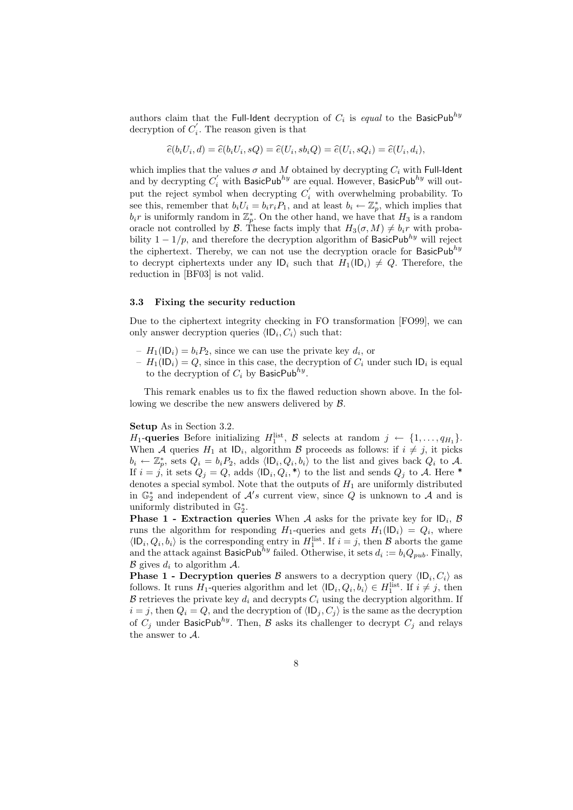authors claim that the Full-Ident decryption of  $C_i$  is equal to the BasicPub $^{hy}$ decryption of  $C_i'$ . The reason given is that

$$
\widehat{e}(b_iU_i,d) = \widehat{e}(b_iU_i,sQ) = \widehat{e}(U_i,sb_iQ) = \widehat{e}(U_i,sQ_i) = \widehat{e}(U_i,d_i),
$$

which implies that the values  $\sigma$  and M obtained by decrypting  $C_i$  with Full-Ident and by decrypting  $C_i'$  with BasicPub<sup>hy</sup> are equal. However, BasicPub<sup>hy</sup> will output the reject symbol when decrypting  $C_i'$  with overwhelming probability. To see this, remember that  $b_i U_i = b_i r_i P_1$ , and at least  $b_i \leftarrow \mathbb{Z}_p^*$ , which implies that  $b_i r$  is uniformly random in  $\mathbb{Z}_p^*$ . On the other hand, we have that  $H_3$  is a random oracle not controlled by B. These facts imply that  $H_3(\sigma, M) \neq b_i r$  with probability  $1 - 1/p$ , and therefore the decryption algorithm of BasicPub<sup>hy</sup> will reject the ciphertext. Thereby, we can not use the decryption oracle for BasicPub<sup>hy</sup> to decrypt ciphertexts under any  $|D_i|$  such that  $H_1(|D_i) \neq Q$ . Therefore, the reduction in [BF03] is not valid.

#### 3.3 Fixing the security reduction

Due to the ciphertext integrity checking in FO transformation [FO99], we can only answer decryption queries  $\langle \mathsf{ID}_i, C_i \rangle$  such that:

- $-H_1(\mathsf{ID}_i) = b_i P_2$ , since we can use the private key  $d_i$ , or
- $-H_1(\mathsf{ID}_i) = Q$ , since in this case, the decryption of  $C_i$  under such  $\mathsf{ID}_i$  is equal to the decryption of  $C_i$  by BasicPub<sup>hy</sup>.

This remark enables us to fix the flawed reduction shown above. In the following we describe the new answers delivered by B.

#### Setup As in Section 3.2.

 $H_1$ -queries Before initializing  $H_1^{\text{list}}$ ,  $\mathcal B$  selects at random  $j \leftarrow \{1, \ldots, q_{H_1}\}.$ When A queries  $H_1$  at  $\mathsf{ID}_i$ , algorithm B proceeds as follows: if  $i \neq j$ , it picks  $b_i \leftarrow \mathbb{Z}_p^*$ , sets  $Q_i = b_i P_2$ , adds  $\langle \mathsf{ID}_i, Q_i, b_i \rangle$  to the list and gives back  $Q_i$  to A. If  $i = j$ , it sets  $Q_j = Q$ , adds  $\langle \mathsf{ID}_i, Q_i, * \rangle$  to the list and sends  $Q_j$  to A. Here \* denotes a special symbol. Note that the outputs of  $H_1$  are uniformly distributed in  $\mathbb{G}_2^*$  and independent of  $\mathcal{A}'s$  current view, since Q is unknown to  $\mathcal{A}$  and is uniformly distributed in  $\mathbb{G}_2^*$ .

**Phase 1 - Extraction queries** When A asks for the private key for  $ID_i$ , B runs the algorithm for responding  $H_1$ -queries and gets  $H_1(\mathsf{ID}_i) = Q_i$ , where  $\langle \mathsf{ID}_i, Q_i, b_i \rangle$  is the corresponding entry in  $H_1^{\text{list}}$ . If  $i = j$ , then  $\mathcal B$  aborts the game and the attack against BasicPub<sup>hy</sup> failed. Otherwise, it sets  $d_i := b_i Q_{pub}$ . Finally,  $\mathcal B$  gives  $d_i$  to algorithm  $\mathcal A$ .

**Phase 1 - Decryption queries**  $\beta$  answers to a decryption query  $\langle \mathsf{ID}_i, C_i \rangle$  as follows. It runs  $H_1$ -queries algorithm and let  $\langle \mathsf{ID}_i, Q_i, b_i \rangle \in H_1^{\text{list}}$ . If  $i \neq j$ , then  $\mathcal B$  retrieves the private key  $d_i$  and decrypts  $C_i$  using the decryption algorithm. If  $i = j$ , then  $Q_i = Q$ , and the decryption of  $\langle \mathsf{ID}_j, C_j \rangle$  is the same as the decryption of  $C_i$  under BasicPub<sup>hy</sup>. Then, B asks its challenger to decrypt  $C_i$  and relays the answer to A.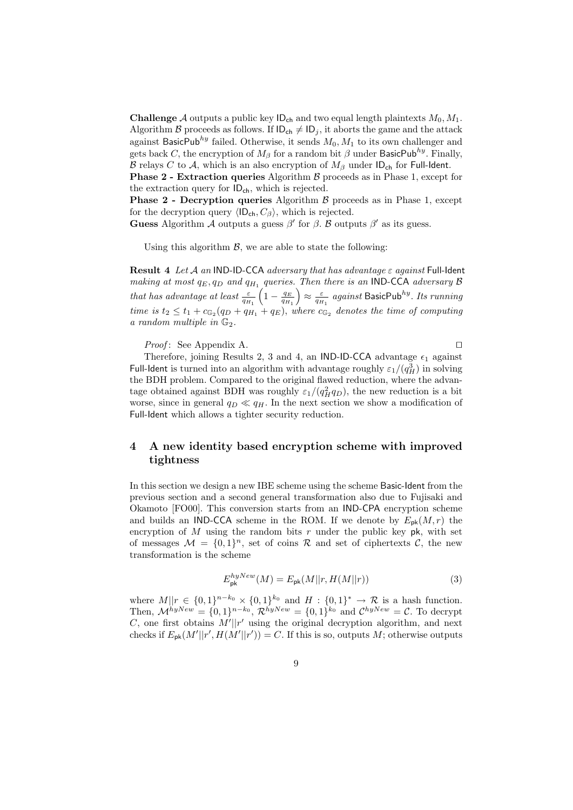**Challenge** A outputs a public key  $ID_{ch}$  and two equal length plaintexts  $M_0, M_1$ . Algorithm B proceeds as follows. If  $ID_{ch} \neq ID_j$ , it aborts the game and the attack against BasicPub<sup>hy</sup> failed. Otherwise, it sends  $M_0, M_1$  to its own challenger and gets back C, the encryption of  $M_\beta$  for a random bit  $\beta$  under BasicPub $^{hy}$ . Finally, B relays C to A, which is an also encryption of  $M_\beta$  under ID<sub>ch</sub> for Full-Ident.

**Phase 2 - Extraction queries** Algorithm  $\beta$  proceeds as in Phase 1, except for the extraction query for  $ID_{ch}$ , which is rejected.

**Phase 2 - Decryption queries** Algorithm  $\beta$  proceeds as in Phase 1, except for the decryption query  $\langle \mathsf{ID}_{ch}, C_{\beta} \rangle$ , which is rejected.

Guess Algorithm A outputs a guess  $\beta'$  for  $\beta$ . B outputs  $\beta'$  as its guess.

Using this algorithm  $\mathcal{B}$ , we are able to state the following:

**Result 4** Let A an IND-ID-CCA adversary that has advantage  $\varepsilon$  against Full-Ident making at most  $q_E, q_D$  and  $q_{H_1}$  queries. Then there is an IND-CCA adversary B that has advantage at least  $\frac{\varepsilon}{q_{H_1}}$  $\left(1-\frac{q_E}{q_{H_1}}\right)$  $\Big) \approx \frac{\varepsilon}{q_{H_1}}$  against BasicPub $^{hy}.$  Its running time is  $t_2 \leq t_1 + c_{\mathbb{G}_2}(q_D + q_{H_1} + q_E)$ , where  $c_{\mathbb{G}_2}$  denotes the time of computing a random multiple in  $\mathbb{G}_2$ .

*Proof*: See Appendix A.  $\Box$ 

Therefore, joining Results 2, 3 and 4, an IND-ID-CCA advantage  $\epsilon_1$  against Full-Ident is turned into an algorithm with advantage roughly  $\varepsilon_1/(q_H^3)$  in solving the BDH problem. Compared to the original flawed reduction, where the advantage obtained against BDH was roughly  $\varepsilon_1/(q_H^2 q_D)$ , the new reduction is a bit worse, since in general  $q_D \ll q_H$ . In the next section we show a modification of Full-Ident which allows a tighter security reduction.

## 4 A new identity based encryption scheme with improved tightness

In this section we design a new IBE scheme using the scheme Basic-Ident from the previous section and a second general transformation also due to Fujisaki and Okamoto [FO00]. This conversion starts from an IND-CPA encryption scheme and builds an IND-CCA scheme in the ROM. If we denote by  $E_{\rm pk}(M,r)$  the encryption of  $M$  using the random bits  $r$  under the public key pk, with set of messages  $\mathcal{M} = \{0,1\}^n$ , set of coins R and set of ciphertexts C, the new transformation is the scheme

$$
E_{\mathsf{pk}}^{hyNew}(M) = E_{\mathsf{pk}}(M||r, H(M||r))\tag{3}
$$

where  $M||r \in \{0,1\}^{n-k_0} \times \{0,1\}^{k_0}$  and  $H: \{0,1\}^* \to \mathcal{R}$  is a hash function. Then,  $\mathcal{M}^{hyNew} = \{0,1\}^{n-k_0}, \mathcal{R}^{hyNew} = \{0,1\}^{k_0}$  and  $\mathcal{C}^{hyNew} = \mathcal{C}$ . To decrypt C, one first obtains  $M'||r'$  using the original decryption algorithm, and next checks if  $E_{\mathsf{pk}}(M'||r', H(M'||r')) = C$ . If this is so, outputs M; otherwise outputs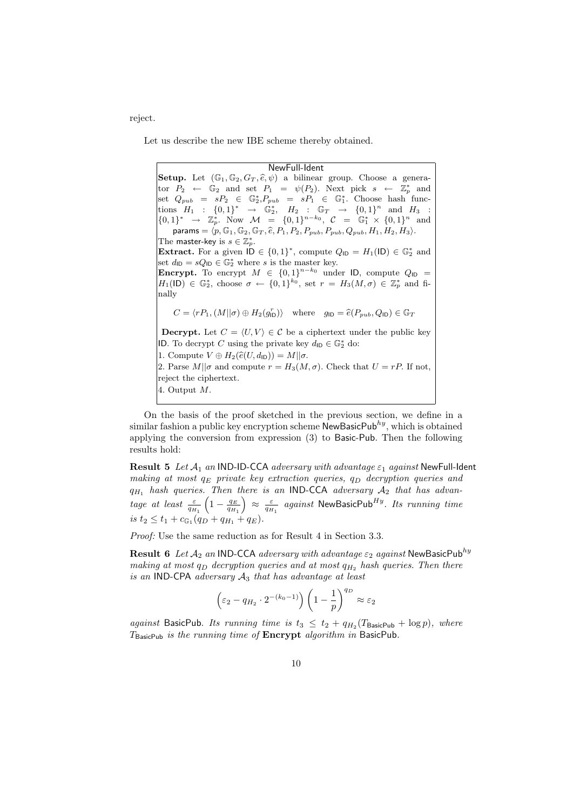reject.

Let us describe the new IBE scheme thereby obtained.

#### NewFull-Ident

 ${\bf NewFull\text{-}Ident}$ <br>Setup. Let  $(\mathbb{G}_1, \mathbb{G}_2, G_T, \hat{e}, \psi)$  a bilinear group. Choose a generator  $P_2 \leftarrow \mathbb{G}_2$  and set  $P_1 = \psi(P_2)$ . Next pick  $s \leftarrow \mathbb{Z}_p^*$  and set  $Q_{pub} = sP_2 \in \mathbb{G}_2^*$ ,  $P_{pub} = sP_1 \in \mathbb{G}_1^*$ . Choose hash functions  $H_1 : \{0,1\}^* \rightarrow \mathbb{G}_2^*, H_2 : \mathbb{G}_T \rightarrow \{0,1\}^n$  and  $H_3 :$  $\{0,1\}^* \rightarrow \mathbb{Z}_p^*.$  Now  $\mathcal{M} = \{0,1\}^{n-k_0},$   $\mathcal{C} = \mathbb{G}_1^* \times \{0,1\}^n$  and  $Q_{pub} = sF_2 \in \mathbb{F}_2$ ,  $F_{pub} = sF_1 \in \mathbb{F}_1$ . Choose hash if<br>  $sH_1 : \{0,1\}^* \to \mathbb{G}_2^*, H_2 : \mathbb{G}_T \to \{0,1\}^n$  and  $H_1^* \to \mathbb{Z}_p^*$ . Now  $\mathcal{M} = \{0,1\}^{n-k_0}, C = \mathbb{G}_1^* \times \{0,1\}^n$ <br>  $\mathsf{params} = \langle p, \mathbb{G}_1, \mathbb{G}_2, \mathbb{G}_T, \$ The master-key is  $s \in \mathbb{Z}_p^*$ . **Extract.** For a given  $\mathsf{ID} \in \{0,1\}^*$ , compute  $Q_{\mathsf{ID}} = H_1(\mathsf{ID}) \in \mathbb{G}_2^*$  and set  $d_{\text{ID}} = sQ_{\text{ID}} \in \mathbb{G}_2^*$  where s is the master key. **Encrypt.** To encrypt  $M \in \{0,1\}^{n-k_0}$  under ID, compute  $Q_{\text{ID}} =$  $H_1(\mathsf{ID}) \in \mathbb{G}_2^*$ , choose  $\sigma \leftarrow \{0,1\}^{k_0}$ , set  $r = H_3(M,\sigma) \in \mathbb{Z}_p^*$  and finally ID) ∈  $\mathbb{G}_2^*$ , choose  $\sigma \leftarrow \{0, 1\}^{\kappa_0}$ , set  $r = H_3(M, \sigma) \in \mathbb{Z}_p^*$  an<br>y<br>C =  $\langle rP_1, (M||\sigma) \oplus H_2(g_{\text{ID}}^r) \rangle$  where  $g_{\text{ID}} = \hat{e}(P_{pub}, Q_{\text{ID}}) \in \mathbb{G}_T$ **Decrypt.** Let  $C = \langle U, V \rangle \in \mathcal{C}$  be a ciphertext under the public key ID. To decrypt C using the private key  $d_{\text{ID}} \in \mathbb{G}_2^*$  do: **Decrypt.** Let  $C = \langle U, V \rangle \in C$  be a  $\langle$ <br>**1D.** To decrypt C using the private key<br>1. Compute  $V \oplus H_2(\hat{e}(U, d_{\text{ID}})) = M||\sigma$ . 2. Parse  $M||\sigma$  and compute  $r = H_3(M, \sigma)$ . Check that  $U = rP$ . If not, reject the ciphertext. 4. Output M.

On the basis of the proof sketched in the previous section, we define in a similar fashion a public key encryption scheme  $\mathsf{NewBasicPub}^{\mathit{hy}},$  which is obtained applying the conversion from expression (3) to Basic-Pub. Then the following results hold:

**Result 5** Let  $A_1$  an IND-ID-CCA adversary with advantage  $\varepsilon_1$  against NewFull-Ident making at most  $q_E$  private key extraction queries,  $q_D$  decryption queries and  $q_{H_1}$  hash queries. Then there is an IND-CCA adversary  $A_2$  that has advantage at least  $\frac{\varepsilon}{q_{H_1}}$  $\left(1-\frac{q_E}{q_{H_1}}\right)$  $\Big) \, \approx \, \frac{\varepsilon}{q_{H_1}} \, \, \textit{against NewBasicPub}^{H y}.$  Its running time is  $t_2 \leq t_1 + c_{\mathbb{G}_1}(q_D + q_{H_1} + q_E).$ 

Proof: Use the same reduction as for Result 4 in Section 3.3.

**Result 6** Let  $A_2$  an IND-CCA adversary with advantage  $\varepsilon_2$  against NewBasicPub<sup>hy</sup> making at most  $q_D$  decryption queries and at most  $q_H$ , hash queries. Then there is an IND-CPA adversary  $A_3$  that has advantage at least

$$
\left(\varepsilon_2-q_{H_2}\cdot 2^{-(k_0-1)}\right)\left(1-\frac{1}{p}\right)^{q_D}\approx \varepsilon_2
$$

against BasicPub. Its running time is  $t_3 \n\leq t_2 + q_{H_2}(T_{\text{BasicPub}} + \log p)$ , where  $T_{\text{BasicPub}}$  is the running time of  $\text{Energy algorithm}$  in BasicPub.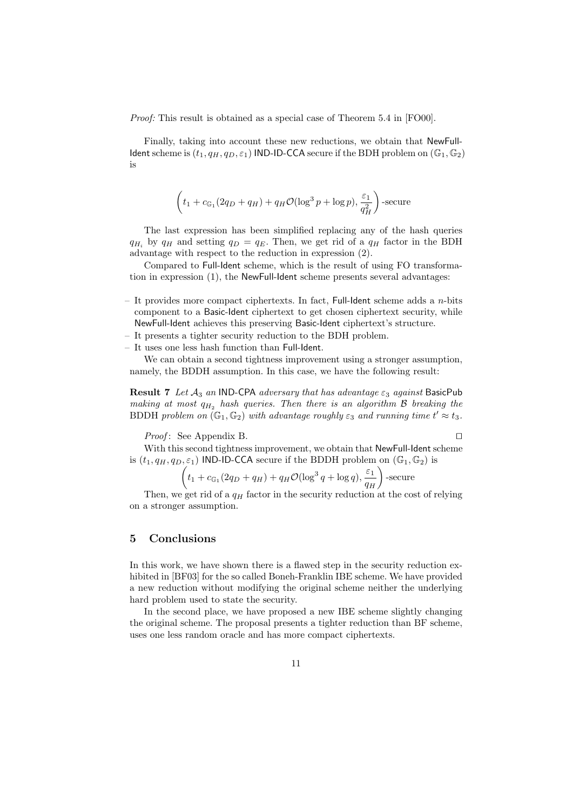Proof: This result is obtained as a special case of Theorem 5.4 in [FO00].

Finally, taking into account these new reductions, we obtain that NewFull-Ident scheme is  $(t_1, q_H, q_D, \varepsilon_1)$  IND-ID-CCA secure if the BDH problem on  $(\mathbb{G}_1, \mathbb{G}_2)$ is

$$
\left(t_1 + c_{\mathbb{G}_1}(2q_D + q_H) + q_H \mathcal{O}(\log^3 p + \log p), \frac{\varepsilon_1}{q_H^2}\right)\text{-secure}
$$

The last expression has been simplified replacing any of the hash queries  $q_H$ , by  $q_H$  and setting  $q_D = q_E$ . Then, we get rid of a  $q_H$  factor in the BDH advantage with respect to the reduction in expression (2).

Compared to Full-Ident scheme, which is the result of using FO transformation in expression (1), the NewFull-Ident scheme presents several advantages:

- It provides more compact ciphertexts. In fact, Full-Ident scheme adds a  $n$ -bits component to a Basic-Ident ciphertext to get chosen ciphertext security, while NewFull-Ident achieves this preserving Basic-Ident ciphertext's structure.
- It presents a tighter security reduction to the BDH problem.
- It uses one less hash function than Full-Ident.

We can obtain a second tightness improvement using a stronger assumption, namely, the BDDH assumption. In this case, we have the following result:

Result 7 Let  $A_3$  an IND-CPA adversary that has advantage  $\varepsilon_3$  against BasicPub making at most  $q_H$ , hash queries. Then there is an algorithm  $\beta$  breaking the BDDH problem on  $(\mathbb{G}_1, \mathbb{G}_2)$  with advantage roughly  $\varepsilon_3$  and running time  $t' \approx t_3$ .

*Proof*: See Appendix B.

With this second tightness improvement, we obtain that NewFull-Ident scheme is  $(t_1, q_H, q_D, \varepsilon_1)$  IND-ID-CCA secure if the BDDH problem on  $(\mathbb{G}_1, \mathbb{G}_2)$  is

$$
\left(t_1 + c_{\mathbb{G}_1}(2q_D + q_H) + q_H \mathcal{O}(\log^3 q + \log q), \frac{\varepsilon_1}{q_H}\right) \text{-secure}
$$

Then, we get rid of a  $q_H$  factor in the security reduction at the cost of relying on a stronger assumption.

## 5 Conclusions

In this work, we have shown there is a flawed step in the security reduction exhibited in [BF03] for the so called Boneh-Franklin IBE scheme. We have provided a new reduction without modifying the original scheme neither the underlying hard problem used to state the security.

In the second place, we have proposed a new IBE scheme slightly changing the original scheme. The proposal presents a tighter reduction than BF scheme, uses one less random oracle and has more compact ciphertexts.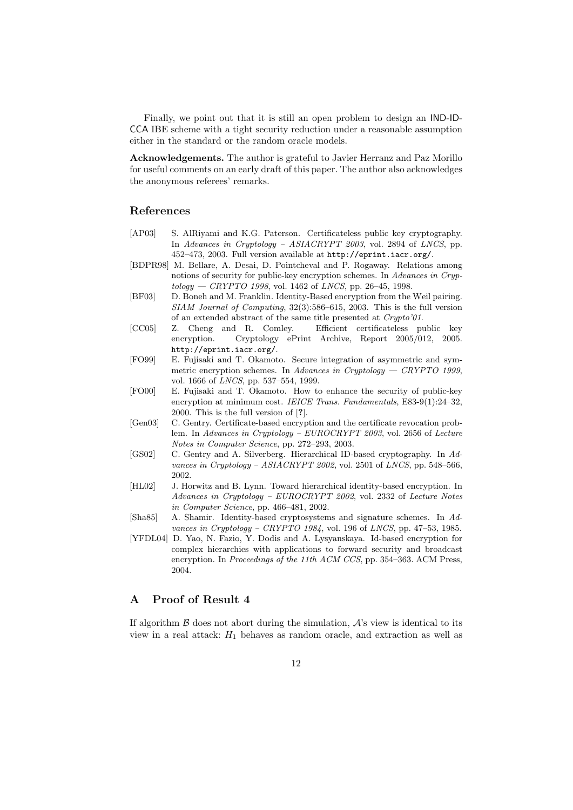Finally, we point out that it is still an open problem to design an IND-ID-CCA IBE scheme with a tight security reduction under a reasonable assumption either in the standard or the random oracle models.

Acknowledgements. The author is grateful to Javier Herranz and Paz Morillo for useful comments on an early draft of this paper. The author also acknowledges the anonymous referees' remarks.

## References

- [AP03] S. AlRiyami and K.G. Paterson. Certificateless public key cryptography. In Advances in Cryptology – ASIACRYPT 2003, vol. 2894 of LNCS, pp. 452–473, 2003. Full version available at http://eprint.iacr.org/.
- [BDPR98] M. Bellare, A. Desai, D. Pointcheval and P. Rogaway. Relations among notions of security for public-key encryption schemes. In Advances in Cryp $tology - C RYPTO 1998$ , vol. 1462 of *LNCS*, pp. 26–45, 1998.
- [BF03] D. Boneh and M. Franklin. Identity-Based encryption from the Weil pairing. SIAM Journal of Computing, 32(3):586–615, 2003. This is the full version of an extended abstract of the same title presented at Crypto'01.
- [CC05] Z. Cheng and R. Comley. Efficient certificateless public key encryption. Cryptology ePrint Archive, Report 2005/012, 2005. http://eprint.iacr.org/.
- [FO99] E. Fujisaki and T. Okamoto. Secure integration of asymmetric and symmetric encryption schemes. In Advances in Cryptology  $-$  CRYPTO 1999, vol. 1666 of LNCS, pp. 537–554, 1999.
- [FO00] E. Fujisaki and T. Okamoto. How to enhance the security of public-key encryption at minimum cost. IEICE Trans. Fundamentals, E83-9(1):24-32, 2000. This is the full version of [?].
- [Gen03] C. Gentry. Certificate-based encryption and the certificate revocation problem. In Advances in Cryptology – EUROCRYPT 2003, vol. 2656 of Lecture Notes in Computer Science, pp. 272–293, 2003.
- [GS02] C. Gentry and A. Silverberg. Hierarchical ID-based cryptography. In Advances in Cryptology - ASIACRYPT 2002, vol. 2501 of LNCS, pp. 548-566, 2002.
- [HL02] J. Horwitz and B. Lynn. Toward hierarchical identity-based encryption. In Advances in Cryptology – EUROCRYPT 2002, vol. 2332 of Lecture Notes in Computer Science, pp. 466–481, 2002.
- [Sha85] A. Shamir. Identity-based cryptosystems and signature schemes. In Advances in Cryptology – CRYPTO 1984, vol. 196 of LNCS, pp. 47–53, 1985.
- [YFDL04] D. Yao, N. Fazio, Y. Dodis and A. Lysyanskaya. Id-based encryption for complex hierarchies with applications to forward security and broadcast encryption. In Proceedings of the 11th ACM CCS, pp. 354–363. ACM Press, 2004.

## A Proof of Result 4

If algorithm  $\beta$  does not abort during the simulation,  $\mathcal{A}$ 's view is identical to its view in a real attack:  $H_1$  behaves as random oracle, and extraction as well as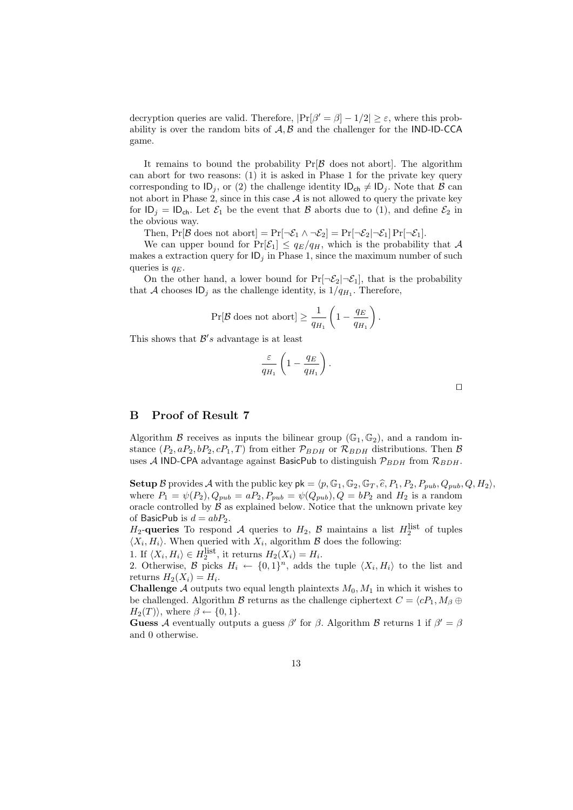decryption queries are valid. Therefore,  $|\Pr[\beta' = \beta] - 1/2| \ge \varepsilon$ , where this probability is over the random bits of  $A, B$  and the challenger for the IND-ID-CCA game.

It remains to bound the probability  $Pr[\mathcal{B}]$  does not abort. The algorithm can abort for two reasons: (1) it is asked in Phase 1 for the private key query corresponding to  $ID_j$ , or (2) the challenge identity  $ID_{ch} \neq ID_j$ . Note that B can not abort in Phase 2, since in this case  $A$  is not allowed to query the private key for  $ID_i = ID_{ch}$ . Let  $\mathcal{E}_1$  be the event that  $\mathcal B$  aborts due to (1), and define  $\mathcal{E}_2$  in the obvious way.

Then,  $Pr[\mathcal{B}$  does not abort] =  $Pr[\neg \mathcal{E}_1 \land \neg \mathcal{E}_2] = Pr[\neg \mathcal{E}_2 | \neg \mathcal{E}_1] Pr[\neg \mathcal{E}_1]$ .

We can upper bound for  $Pr[\mathcal{E}_1] \le q_E/q_H$ , which is the probability that A makes a extraction query for  $\mathsf{ID}_i$  in Phase 1, since the maximum number of such queries is  $q_E$ .

On the other hand, a lower bound for  $Pr[\neg \mathcal{E}_2 | \neg \mathcal{E}_1]$ , that is the probability that A chooses  $ID_j$  as the challenge identity, is  $1/q_{H_1}$ . Therefore,

$$
\Pr[\mathcal{B} \text{ does not abort}] \ge \frac{1}{q_{H_1}} \left(1 - \frac{q_E}{q_{H_1}}\right).
$$

This shows that  $\mathcal{B}'s$  advantage is at least

$$
\frac{\varepsilon}{q_{H_1}}\left(1-\frac{q_E}{q_{H_1}}\right).
$$

B Proof of Result 7

Algorithm B receives as inputs the bilinear group  $(\mathbb{G}_1, \mathbb{G}_2)$ , and a random instance  $(P_2, aP_2, bP_2, cP_1, T)$  from either  $\mathcal{P}_{BDH}$  or  $\mathcal{R}_{BDH}$  distributions. Then  $\mathcal{B}$ uses A IND-CPA advantage against BasicPub to distinguish  $\mathcal{P}_{BDH}$  from  $\mathcal{R}_{BDH}$ .

**Setup** B provides A with the public key  $pk = \langle p, \mathbb{G}_1, \mathbb{G}_2, \mathbb{G}_T, \hat{e}, P_1, P_2, P_{pub}, Q_{pub}, Q, H_2 \rangle$ , where  $P_1 = \psi(P_2), Q_{pub} = aP_2, P_{pub} = \psi(Q_{pub}), Q = bP_2$  and  $H_2$  is a random oracle controlled by  $\beta$  as explained below. Notice that the unknown private key of BasicPub is  $d = abP_2$ .

 $H_2$ -queries To respond A queries to  $H_2$ , B maintains a list  $H_2^{\text{list}}$  of tuples  $\langle X_i, H_i \rangle$ . When queried with  $X_i$ , algorithm  $\beta$  does the following:

1. If  $\langle X_i, H_i \rangle \in H_2^{\text{list}}$ , it returns  $H_2(X_i) = H_i$ .

2. Otherwise, B picks  $H_i \leftarrow \{0,1\}^n$ , adds the tuple  $\langle X_i, H_i \rangle$  to the list and returns  $H_2(X_i) = H_i$ .

**Challenge** A outputs two equal length plaintexts  $M_0$ ,  $M_1$  in which it wishes to be challenged. Algorithm B returns as the challenge ciphertext  $C = \langle cP_1, M_\beta \oplus$  $H_2(T)$ , where  $\beta \leftarrow \{0, 1\}.$ 

**Guess** A eventually outputs a guess  $\beta'$  for  $\beta$ . Algorithm B returns 1 if  $\beta' = \beta$ and 0 otherwise.

 $\Box$